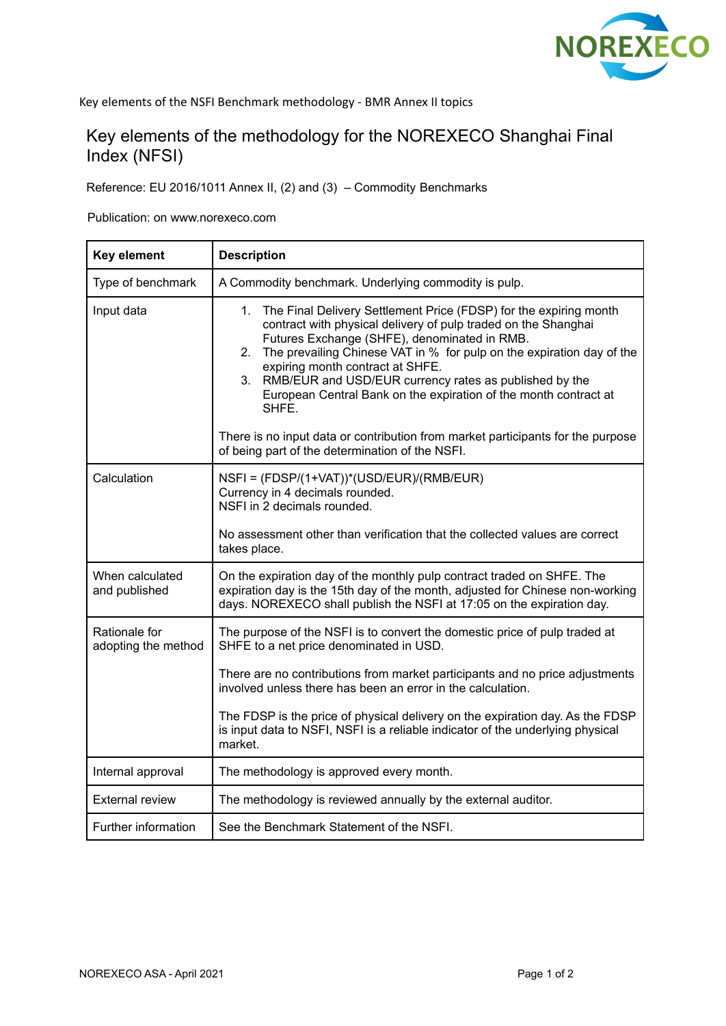

# Key elements of the methodology for the NOREXECO Shanghai Final Index (NFSI)

Reference: EU 2016/1011 Annex II, (2) and (3) – Commodity Benchmarks

Publication: on www.norexeco.com

| Key element                          | <b>Description</b>                                                                                                                                                                                                                                                                                                                                                                                                                                        |
|--------------------------------------|-----------------------------------------------------------------------------------------------------------------------------------------------------------------------------------------------------------------------------------------------------------------------------------------------------------------------------------------------------------------------------------------------------------------------------------------------------------|
| Type of benchmark                    | A Commodity benchmark. Underlying commodity is pulp.                                                                                                                                                                                                                                                                                                                                                                                                      |
| Input data                           | The Final Delivery Settlement Price (FDSP) for the expiring month<br>1.<br>contract with physical delivery of pulp traded on the Shanghai<br>Futures Exchange (SHFE), denominated in RMB.<br>The prevailing Chinese VAT in % for pulp on the expiration day of the<br>2.<br>expiring month contract at SHFE.<br>3.<br>RMB/EUR and USD/EUR currency rates as published by the<br>European Central Bank on the expiration of the month contract at<br>SHFE. |
|                                      | There is no input data or contribution from market participants for the purpose<br>of being part of the determination of the NSFI.                                                                                                                                                                                                                                                                                                                        |
| Calculation                          | NSFI = (FDSP/(1+VAT))*(USD/EUR)/(RMB/EUR)<br>Currency in 4 decimals rounded.<br>NSFI in 2 decimals rounded.                                                                                                                                                                                                                                                                                                                                               |
|                                      | No assessment other than verification that the collected values are correct<br>takes place.                                                                                                                                                                                                                                                                                                                                                               |
| When calculated<br>and published     | On the expiration day of the monthly pulp contract traded on SHFE. The<br>expiration day is the 15th day of the month, adjusted for Chinese non-working<br>days. NOREXECO shall publish the NSFI at 17:05 on the expiration day.                                                                                                                                                                                                                          |
| Rationale for<br>adopting the method | The purpose of the NSFI is to convert the domestic price of pulp traded at<br>SHFE to a net price denominated in USD.                                                                                                                                                                                                                                                                                                                                     |
|                                      | There are no contributions from market participants and no price adjustments<br>involved unless there has been an error in the calculation.                                                                                                                                                                                                                                                                                                               |
|                                      | The FDSP is the price of physical delivery on the expiration day. As the FDSP<br>is input data to NSFI, NSFI is a reliable indicator of the underlying physical<br>market.                                                                                                                                                                                                                                                                                |
| Internal approval                    | The methodology is approved every month.                                                                                                                                                                                                                                                                                                                                                                                                                  |
| <b>External review</b>               | The methodology is reviewed annually by the external auditor.                                                                                                                                                                                                                                                                                                                                                                                             |
| Further information                  | See the Benchmark Statement of the NSFI.                                                                                                                                                                                                                                                                                                                                                                                                                  |